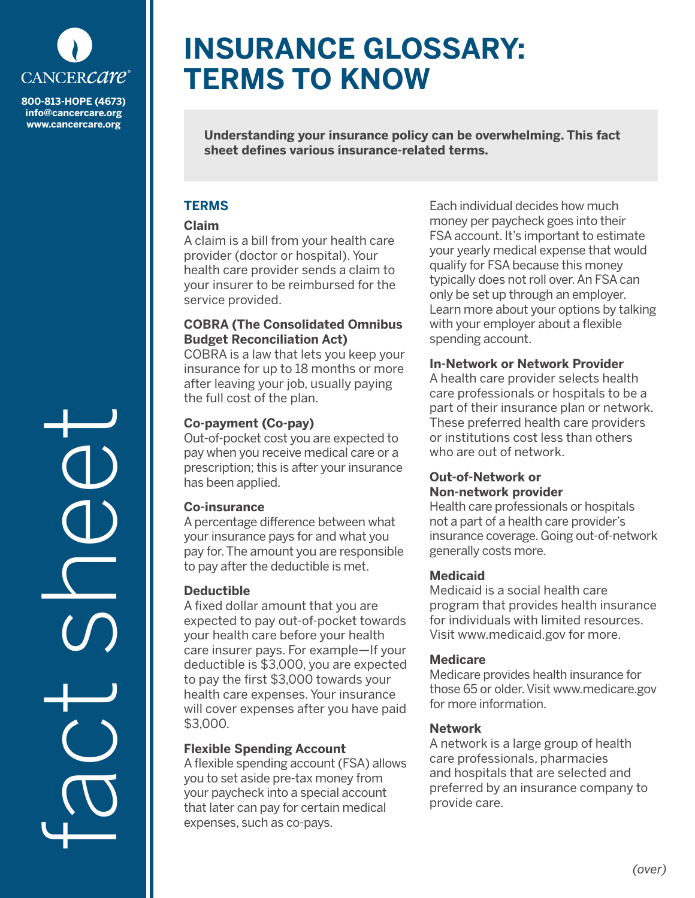

**info@cancercare.org www.cancercare.org**

fact see

# **INSURANCE GLOSSARY: TERMS TO KNOW**

**Understanding your insurance policy can be overwhelming. This fact sheet defines various insurance-related terms.**

### **TERMS**

#### **Claim**

A claim is a bill from your health care provider (doctor or hospital). Your health care provider sends a claim to your insurer to be reimbursed for the service provided.

#### **COBRA (The Consolidated Omnibus Budget Reconciliation Act)**

COBRA is a law that lets you keep your insurance for up to 18 months or more after leaving your job, usually paying the full cost of the plan.

# **Co-payment (Co-pay)**

Out-of-pocket cost you are expected to pay when you receive medical care or a prescription; this is after your insurance has been applied.

# **Co-insurance**

A percentage difference between what your insurance pays for and what you pay for. The amount you are responsible to pay after the deductible is met.

# **Deductible**

A fixed dollar amount that you are expected to pay out-of-pocket towards your health care before your health care insurer pays. For example—If your deductible is \$3,000, you are expected to pay the first \$3,000 towards your health care expenses. Your insurance will cover expenses after you have paid \$3,000.

# **Flexible Spending Account**

A flexible spending account (FSA) allows you to set aside pre-tax money from your paycheck into a special account that later can pay for certain medical expenses, such as co-pays.

Each individual decides how much money per paycheck goes into their FSA account. It's important to estimate your yearly medical expense that would qualify for FSA because this money typically does not roll over. An FSA can only be set up through an employer. Learn more about your options by talking with your employer about a flexible spending account.

# **In-Network or Network Provider**

A health care provider selects health care professionals or hospitals to be a part of their insurance plan or network. These preferred health care providers or institutions cost less than others who are out of network.

#### **Out-of-Network or Non-network provider**

Health care professionals or hospitals not a part of a health care provider's insurance coverage. Going out-of-network generally costs more.

# **Medicaid**

Medicaid is a social health care program that provides health insurance for individuals with limited resources. Visit www.medicaid.gov for more.

# **Medicare**

Medicare provides health insurance for those 65 or older. Visit www.medicare.gov for more information.

# **Network**

A network is a large group of health care professionals, pharmacies and hospitals that are selected and preferred by an insurance company to provide care.